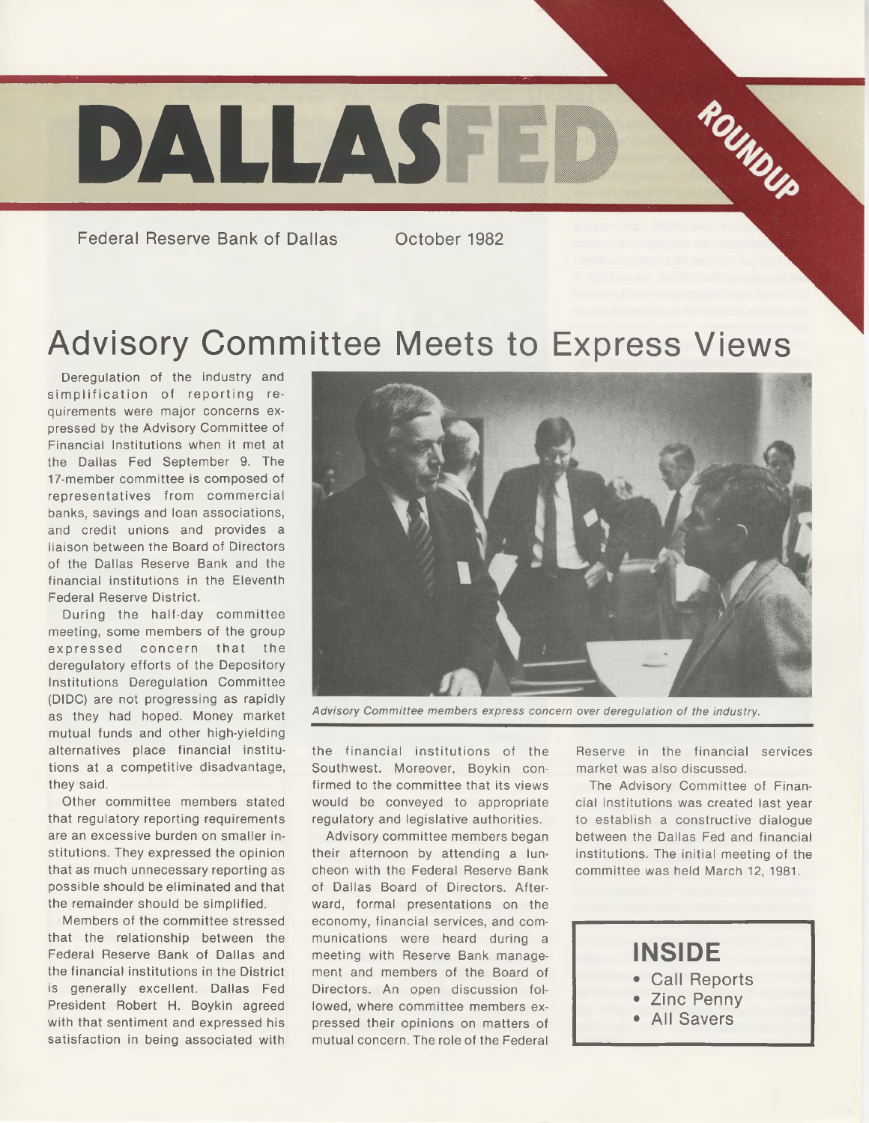

Federal Reserve Bank of Dallas Cortober 1982

# Advisory Committee Meets to Express Views

Deregulation of the industry and simplification of reporting requirements were major concerns expressed by the Advisory Committee of Financial Institutions when it met at the Dallas Fed September 9. The 17-member committee is composed of representatives from commercial banks, savings and loan associations, and credit unions and provides a liaison between the Board of Directors of the Dallas Reserve Bank and the financial institutions in the Eleventh Federal Reserve District.

During the half-day committee meeting, some members of the group expressed concern that the deregulatory efforts of the Depository Institutions Deregulation Committee (DIDC) are not progressing as rapidly as they had hoped. Money market mutual funds and other high-yielding alternatives place financial institutions at a competitive disadvantage, they said.

Other committee members stated that regulatory reporting requirements are an excessive burden on smaller institutions. They expressed the opinion that as much unnecessary reporting as possible should be eliminated and that the remainder should be simplified.

Members of the committee stressed that the relationship between the Federal Reserve Bank of Dallas and the financial institutions in the District is generally excellent. Dallas Fed President Robert H. Boykin agreed with that sentiment and expressed his satisfaction in being associated with



Advisory Committee members express concern over deregulation of the industry.

the financial institutions of the Southwest. Moreover, Boykin confirmed to the committee that its views would be conveyed to appropriate regulatory and legislative authorities.

Advisory committee members began their afternoon by attending a luncheon with the Federal Reserve Bank of Dallas Board of Directors. Afterward, formal presentations on the economy, financial services, and communications were heard during a meeting with Reserve Bank management and members of the Board of Directors. An open discussion followed, where committee members expressed their opinions on matters of mutual concern. The role of the Federal

Reserve in the financial services market was also discussed.

The Advisory Committee of Financial Institutions was created last year to establish a constructive dialogue between the Dallas Fed and financial institutions. The initial meeting of the committee was held March 12, 1981.

#### **INSIDE** • Call Reports • Zinc Penny

- 
- All Savers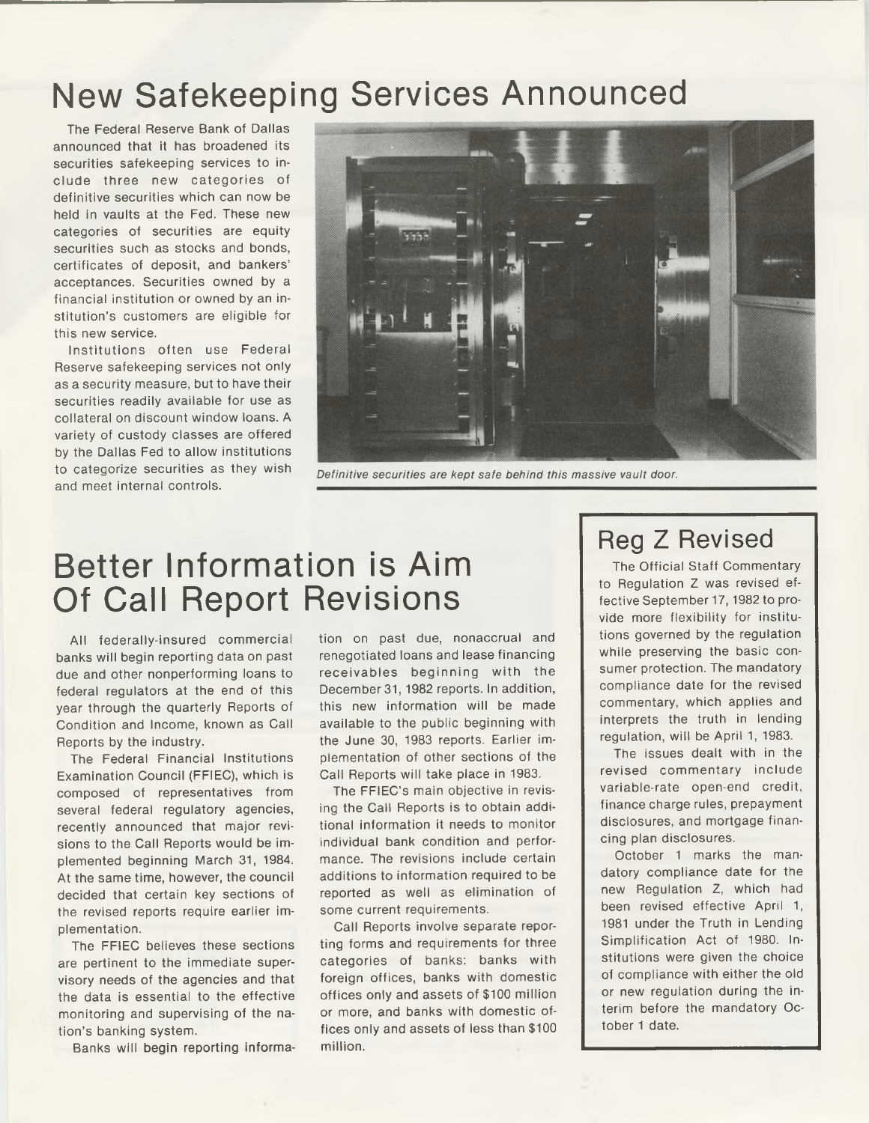### New Safekeeping Services Announced

The Federal Reserve Bank of Dallas announced that it has broadened its securities safekeeping services to include three new categories of definitive securities which can now be held in vaults at the Fed. These new categories of securities are equity securities such as stocks and bonds, certificates of deposit, and bankers' acceptances. Securities owned by a financial institution or owned by an institution's customers are eligible for this new service.

Institutions often use Federal Reserve safekeeping services not only as a security measure, but to have their securities readily available for use as collateral on discount window loans. A variety of custody classes are offered by the Dallas Fed to allow institutions to categorize securities as they wish and meet internal controls.



Definitive securities are kept safe behind this massive vault door.

### Better Information is Aim Of Call Report Revisions

All federally-insured commercial banks will begin reporting data on past due and other nonperforming loans to federal regulators at the end of this year through the quarterly Reports of Condition and Income, known as Call Reports by the industry.

The Federal Financial Institutions Examination Council (FFIEC), which is composed of representatives from several federal regulatory agencies, recently announced that major revisions to the Call Reports would be implemented beginning March 31, 1984. At the same time, however, the council decided that certain key sections of the revised reports require earlier implementation.

The FFIEC believes these sections are pertinent to the immediate supervisory needs of the agencies and that the data is essential to the effective monitoring and supervising of the nation's banking system.

Banks will begin reporting informa-

tion on past due, nonaccrual and renegotiated loans and lease financing receivables beginning with the December 31,1982 reports. In addition, this new information will be made available to the public beginning with the June 30, 1983 reports. Earlier implementation of other sections of the Call Reports will take place in 1983.

The FFIEC's main objective in revising the Call Reports is to obtain additional information it needs to monitor individual bank condition and performance. The revisions include certain additions to information required to be reported as well as elimination of some current requirements.

Call Reports involve separate reporting forms and requirements for three categories of banks: banks with foreign offices, banks with domestic offices only and assets of \$100 million or more, and banks with domestic offices only and assets of less than \$100 million.

### Reg Z Revised

The Official Staff Commentary to Regulation Z was revised effective September 17, 1982 to provide more flexibility for institutions governed by the regulation while preserving the basic consumer protection. The mandatory compliance date for the revised commentary, which applies and interprets the truth in lending regulation, will be April 1, 1983.

The issues dealt with in the revised commentary include variable-rate open-end credit, finance charge rules, prepayment disclosures, and mortgage financing plan disclosures.

October 1 marks the mandatory compliance date for the new Regulation Z, which had been revised effective April 1, 1981 under the Truth in Lending Simplification Act of 1980. Institutions were given the choice of compliance with either the old or new regulation during the interim before the mandatory October 1 date.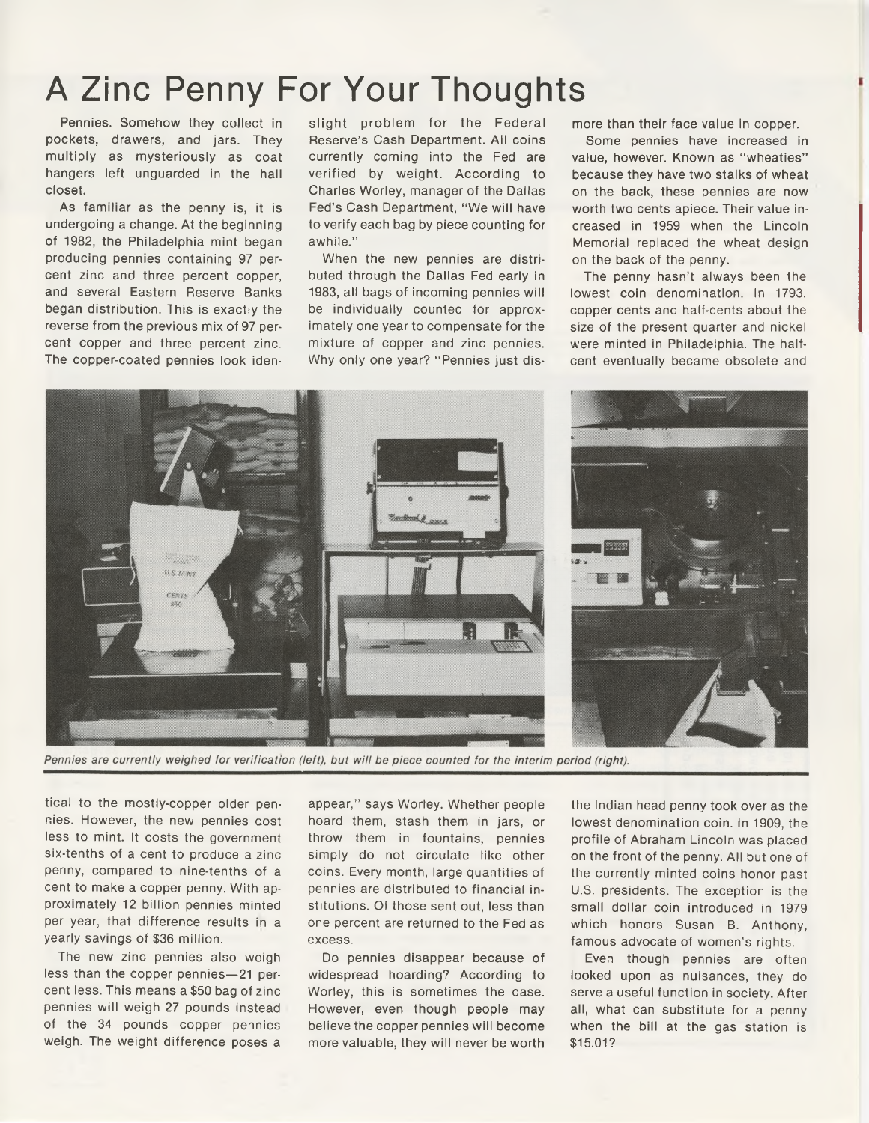## A Zinc Penny For Your Thoughts

Pennies. Somehow they collect in pockets, drawers, and jars. They multiply as mysteriously as coat hangers left unguarded in the hall closet.

As familiar as the penny is, it is undergoing a change. At the beginning of 1982, the Philadelphia mint began producing pennies containing 97 percent zinc and three percent copper, and several Eastern Reserve Banks began distribution. This is exactly the reverse from the previous mix of 97 percent copper and three percent zinc. The copper-coated pennies look iden-

slight problem for the Federal Reserve's Cash Department. All coins currently coming into the Fed are verified by weight. According to Charles Worley, manager of the Dallas Fed's Cash Department, "We will have to verify each bag by piece counting for awhile."

When the new pennies are distributed through the Dallas Fed early in 1983, all bags of incoming pennies will be individually counted for approximately one year to compensate for the mixture of copper and zinc pennies. Why only one year? "Pennies just dismore than their face value in copper.

Some pennies have increased in value, however. Known as "wheaties" because they have two stalks of wheat on the back, these pennies are now worth two cents apiece. Their value increased in 1959 when the Lincoln Memorial replaced the wheat design on the back of the penny.

The penny hasn't always been the lowest coin denomination. In 1793, copper cents and half-cents about the size of the present quarter and nickel were minted in Philadelphia. The halfcent eventually became obsolete and



Pennies are currently weighed for verification (left), but will be piece counted for the interim period (right).

tical to the mostly-copper older pennies. However, the new pennies cost less to mint. It costs the government six-tenths of a cent to produce a zinc penny, compared to nine-tenths of a cent to make a copper penny. With approximately 12 billion pennies minted per year, that difference results in a yearly savings of \$36 million.

The new zinc pennies also weigh less than the copper pennies—21 percent less. This means a \$50 bag of zinc pennies will weigh 27 pounds instead of the 34 pounds copper pennies weigh. The weight difference poses a

appear," says Worley. Whether people hoard them, stash them in jars, or throw them in fountains, pennies simply do not circulate like other coins. Every month, large quantities of pennies are distributed to financial institutions. Of those sent out, less than one percent are returned to the Fed as excess.

Do pennies disappear because of widespread hoarding? According to Worley, this is sometimes the case. However, even though people may believe the copper pennies will become more valuable, they will never be worth the Indian head penny took over as the lowest denomination coin. In 1909, the profile of Abraham Lincoln was placed on the front of the penny. All but one of the currently minted coins honor past U.S. presidents. The exception is the small dollar coin introduced in 1979 which honors Susan B. Anthony, famous advocate of women's rights.

Even though pennies are often looked upon as nuisances, they do serve a useful function in society. After all, what can substitute for a penny when the bill at the gas station is \$15.01?